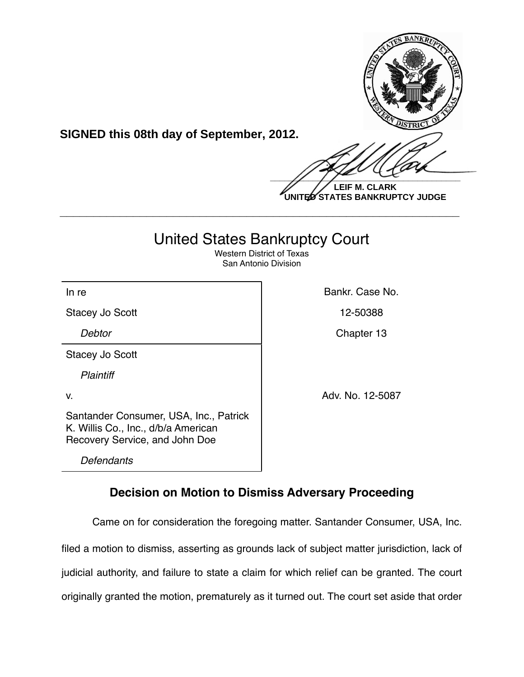

**SIGNED this 08th day of September, 2012.**

 $\frac{1}{2}$ 

**LEIF M. CLARK UNITED STATES BANKRUPTCY JUDGE**

# United States Bankruptcy Court

**\_\_\_\_\_\_\_\_\_\_\_\_\_\_\_\_\_\_\_\_\_\_\_\_\_\_\_\_\_\_\_\_\_\_\_\_\_\_\_\_\_\_\_\_\_\_\_\_\_\_\_\_\_\_\_\_\_\_\_\_**

Western District of Texas San Antonio Division

In re **Bankr.** Case No.

Stacey Jo Scott 12-50388

Stacey Jo Scott

*Plaintiff*

Santander Consumer, USA, Inc., Patrick K. Willis Co., Inc., d/b/a American Recovery Service, and John Doe

*Defendants*

**Debtor** Chapter 13

v. Adv. No. 12-5087

# **Decision on Motion to Dismiss Adversary Proceeding**

Came on for consideration the foregoing matter. Santander Consumer, USA, Inc. filed a motion to dismiss, asserting as grounds lack of subject matter jurisdiction, lack of judicial authority, and failure to state a claim for which relief can be granted. The court originally granted the motion, prematurely as it turned out. The court set aside that order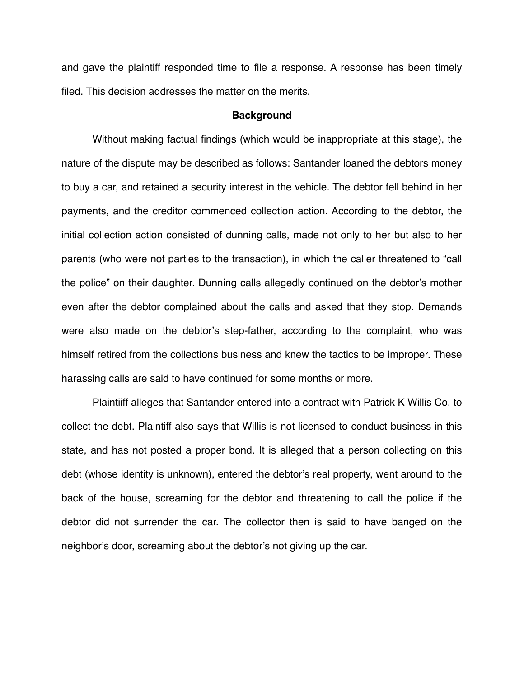and gave the plaintiff responded time to file a response. A response has been timely filed. This decision addresses the matter on the merits.

### **Background**

Without making factual findings (which would be inappropriate at this stage), the nature of the dispute may be described as follows: Santander loaned the debtors money to buy a car, and retained a security interest in the vehicle. The debtor fell behind in her payments, and the creditor commenced collection action. According to the debtor, the initial collection action consisted of dunning calls, made not only to her but also to her parents (who were not parties to the transaction), in which the caller threatened to "call the police" on their daughter. Dunning calls allegedly continued on the debtor's mother even after the debtor complained about the calls and asked that they stop. Demands were also made on the debtor's step-father, according to the complaint, who was himself retired from the collections business and knew the tactics to be improper. These harassing calls are said to have continued for some months or more.

Plaintiiff alleges that Santander entered into a contract with Patrick K Willis Co. to collect the debt. Plaintiff also says that Willis is not licensed to conduct business in this state, and has not posted a proper bond. It is alleged that a person collecting on this debt (whose identity is unknown), entered the debtor's real property, went around to the back of the house, screaming for the debtor and threatening to call the police if the debtor did not surrender the car. The collector then is said to have banged on the neighbor's door, screaming about the debtor's not giving up the car.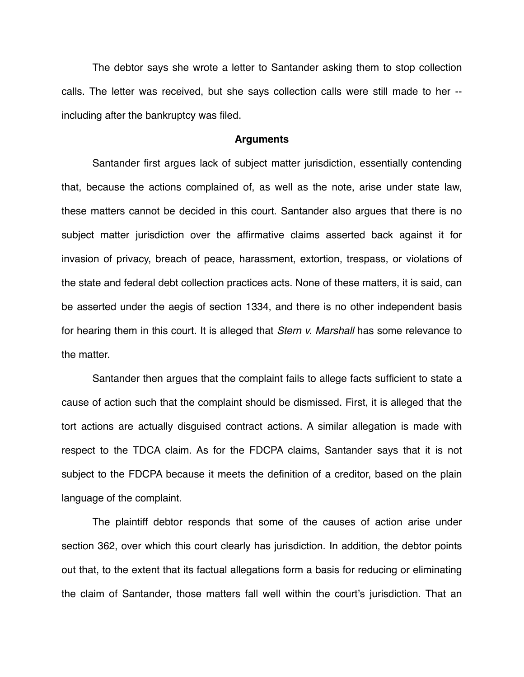The debtor says she wrote a letter to Santander asking them to stop collection calls. The letter was received, but she says collection calls were still made to her - including after the bankruptcy was filed.

#### **Arguments**

Santander first argues lack of subject matter jurisdiction, essentially contending that, because the actions complained of, as well as the note, arise under state law, these matters cannot be decided in this court. Santander also argues that there is no subject matter jurisdiction over the affirmative claims asserted back against it for invasion of privacy, breach of peace, harassment, extortion, trespass, or violations of the state and federal debt collection practices acts. None of these matters, it is said, can be asserted under the aegis of section 1334, and there is no other independent basis for hearing them in this court. It is alleged that *Stern v. Marshall* has some relevance to the matter.

Santander then argues that the complaint fails to allege facts sufficient to state a cause of action such that the complaint should be dismissed. First, it is alleged that the tort actions are actually disguised contract actions. A similar allegation is made with respect to the TDCA claim. As for the FDCPA claims, Santander says that it is not subject to the FDCPA because it meets the definition of a creditor, based on the plain language of the complaint.

The plaintiff debtor responds that some of the causes of action arise under section 362, over which this court clearly has jurisdiction. In addition, the debtor points out that, to the extent that its factual allegations form a basis for reducing or eliminating the claim of Santander, those matters fall well within the court's jurisdiction. That an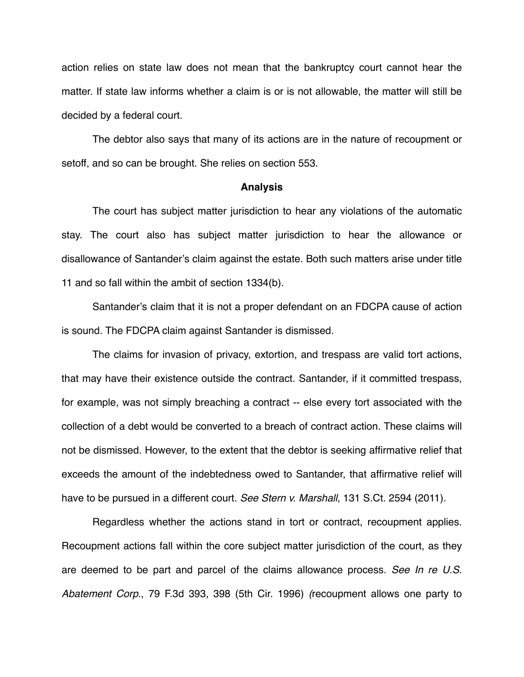action relies on state law does not mean that the bankruptcy court cannot hear the matter. If state law informs whether a claim is or is not allowable, the matter will still be decided by a federal court.

The debtor also says that many of its actions are in the nature of recoupment or setoff, and so can be brought. She relies on section 553.

#### **Analysis**

The court has subject matter jurisdiction to hear any violations of the automatic stay. The court also has subject matter jurisdiction to hear the allowance or disallowance of Santander's claim against the estate. Both such matters arise under title 11 and so fall within the ambit of section 1334(b).

Santander's claim that it is not a proper defendant on an FDCPA cause of action is sound. The FDCPA claim against Santander is dismissed.

The claims for invasion of privacy, extortion, and trespass are valid tort actions, that may have their existence outside the contract. Santander, if it committed trespass, for example, was not simply breaching a contract -- else every tort associated with the collection of a debt would be converted to a breach of contract action. These claims will not be dismissed. However, to the extent that the debtor is seeking affirmative relief that exceeds the amount of the indebtedness owed to Santander, that affirmative relief will have to be pursued in a different court. *See Stern v. Marshall*, 131 S.Ct. 2594 (2011).

Regardless whether the actions stand in tort or contract, recoupment applies. Recoupment actions fall within the core subject matter jurisdiction of the court, as they are deemed to be part and parcel of the claims allowance process. *See In re U.S. Abatement Corp.*, 79 F.3d 393, 398 (5th Cir. 1996) *(*recoupment allows one party to